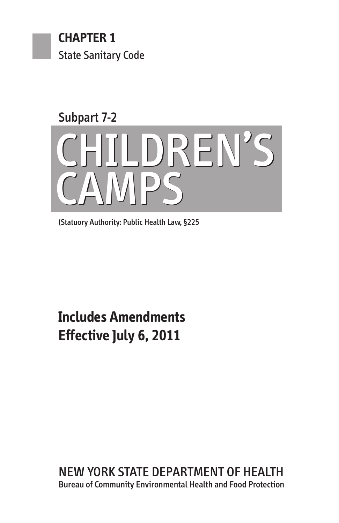

# Subpart 7-2 CHILDREN'S CHILDREN'S CAMPS CAMPS

(Statuory Authority: Public Health Law, §225

## **Includes Amendments Effective July 6, 2011**

NEW YORK STATE DEPARTMENT OF HEALTH Bureau of Community Environmental Health and Food Protection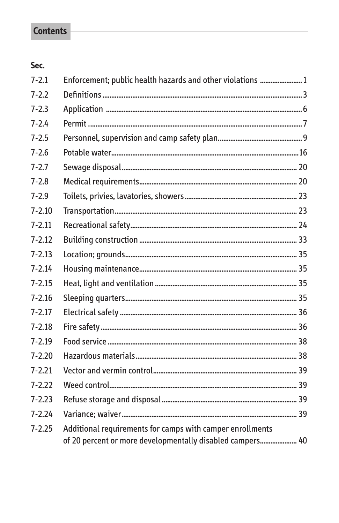### **Contents**

#### Sec.

| $7 - 2.1$  | Enforcement; public health hazards and other violations  1                                                             |  |
|------------|------------------------------------------------------------------------------------------------------------------------|--|
| $7 - 2.2$  |                                                                                                                        |  |
| $7 - 2.3$  |                                                                                                                        |  |
| $7 - 2.4$  |                                                                                                                        |  |
| $7 - 2.5$  |                                                                                                                        |  |
| $7 - 2.6$  |                                                                                                                        |  |
| $7 - 2.7$  |                                                                                                                        |  |
| $7 - 2.8$  |                                                                                                                        |  |
| $7 - 2.9$  |                                                                                                                        |  |
| $7 - 2.10$ |                                                                                                                        |  |
| $7 - 2.11$ |                                                                                                                        |  |
| $7 - 2.12$ |                                                                                                                        |  |
| $7 - 2.13$ |                                                                                                                        |  |
| $7 - 2.14$ |                                                                                                                        |  |
| $7 - 2.15$ |                                                                                                                        |  |
| $7 - 2.16$ |                                                                                                                        |  |
| $7 - 2.17$ |                                                                                                                        |  |
| $7 - 2.18$ |                                                                                                                        |  |
| $7 - 2.19$ |                                                                                                                        |  |
| $7 - 2.20$ |                                                                                                                        |  |
| $7 - 2.21$ |                                                                                                                        |  |
| $7 - 2.22$ |                                                                                                                        |  |
| $7 - 2.23$ |                                                                                                                        |  |
| $7 - 2.24$ |                                                                                                                        |  |
| $7 - 2.25$ | Additional requirements for camps with camper enrollments<br>of 20 percent or more developmentally disabled campers 40 |  |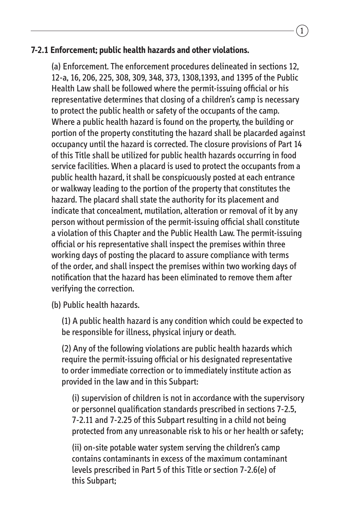#### **7-2.1 Enforcement; public health hazards and other violations.**

(a) Enforcement. The enforcement procedures delineated in sections 12, 12-a, 16, 206, 225, 308, 309, 348, 373, 1308,1393, and 1395 of the Public Health Law shall be followed where the permit-issuing official or his representative determines that closing of a children's camp is necessary to protect the public health or safety of the occupants of the camp. Where a public health hazard is found on the property, the building or portion of the property constituting the hazard shall be placarded against occupancy until the hazard is corrected. The closure provisions of Part 14 of this Title shall be utilized for public health hazards occurring in food service facilities. When a placard is used to protect the occupants from a public health hazard, it shall be conspicuously posted at each entrance or walkway leading to the portion of the property that constitutes the hazard. The placard shall state the authority for its placement and indicate that concealment, mutilation, alteration or removal of it by any person without permission of the permit-issuing official shall constitute a violation of this Chapter and the Public Health Law. The permit-issuing official or his representative shall inspect the premises within three working days of posting the placard to assure compliance with terms of the order, and shall inspect the premises within two working days of notification that the hazard has been eliminated to remove them after verifying the correction.

(b) Public health hazards.

(1) A public health hazard is any condition which could be expected to be responsible for illness, physical injury or death.

(2) Any of the following violations are public health hazards which require the permit-issuing official or his designated representative to order immediate correction or to immediately institute action as provided in the law and in this Subpart:

(i) supervision of children is not in accordance with the supervisory or personnel qualification standards prescribed in sections 7-2.5, 7-2.11 and 7-2.25 of this Subpart resulting in a child not being protected from any unreasonable risk to his or her health or safety;

(ii) on-site potable water system serving the children's camp contains contaminants in excess of the maximum contaminant levels prescribed in Part 5 of this Title or section 7-2.6(e) of this Subpart;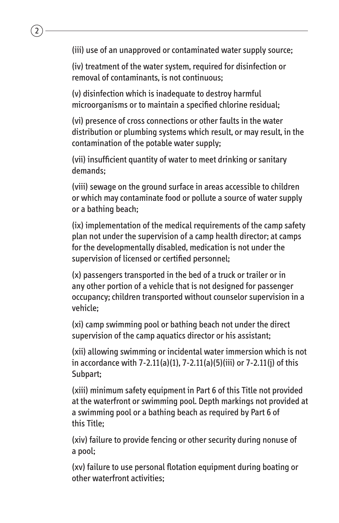(iii) use of an unapproved or contaminated water supply source;

2

(iv) treatment of the water system, required for disinfection or removal of contaminants, is not continuous;

(v) disinfection which is inadequate to destroy harmful microorganisms or to maintain a specified chlorine residual;

(vi) presence of cross connections or other faults in the water distribution or plumbing systems which result, or may result, in the contamination of the potable water supply;

(vii) insufficient quantity of water to meet drinking or sanitary demands;

(viii) sewage on the ground surface in areas accessible to children or which may contaminate food or pollute a source of water supply or a bathing beach;

(ix) implementation of the medical requirements of the camp safety plan not under the supervision of a camp health director; at camps for the developmentally disabled, medication is not under the supervision of licensed or certified personnel;

(x) passengers transported in the bed of a truck or trailer or in any other portion of a vehicle that is not designed for passenger occupancy; children transported without counselor supervision in a vehicle;

(xi) camp swimming pool or bathing beach not under the direct supervision of the camp aquatics director or his assistant;

(xii) allowing swimming or incidental water immersion which is not in accordance with 7-2.11(a)(1), 7-2.11(a)(5)(iii) or 7-2.11(j) of this Subpart;

(xiii) minimum safety equipment in Part 6 of this Title not provided at the waterfront or swimming pool. Depth markings not provided at a swimming pool or a bathing beach as required by Part 6 of this Title;

(xiv) failure to provide fencing or other security during nonuse of a pool;

(xv) failure to use personal flotation equipment during boating or other waterfront activities;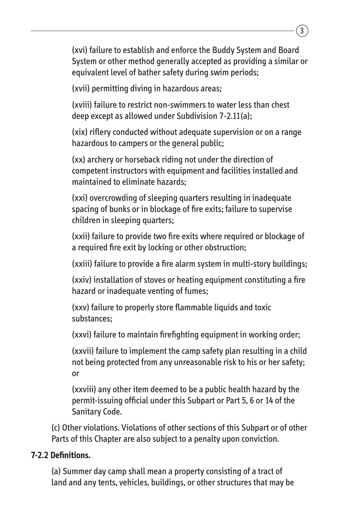(xvi) failure to establish and enforce the Buddy System and Board System or other method generally accepted as providing a similar or equivalent level of bather safety during swim periods;

(xvii) permitting diving in hazardous areas;

(xviii) failure to restrict non-swimmers to water less than chest deep except as allowed under Subdivision 7-2.11(a);

(xix) riflery conducted without adequate supervision or on a range hazardous to campers or the general public;

(xx) archery or horseback riding not under the direction of competent instructors with equipment and facilities installed and maintained to eliminate hazards;

(xxi) overcrowding of sleeping quarters resulting in inadequate spacing of bunks or in blockage of fire exits; failure to supervise children in sleeping quarters;

(xxii) failure to provide two fire exits where required or blockage of a required fire exit by locking or other obstruction;

(xxiii) failure to provide a fire alarm system in multi-story buildings;

(xxiv) installation of stoves or heating equipment constituting a fire hazard or inadequate venting of fumes;

(xxv) failure to properly store flammable liquids and toxic substances;

(xxvi) failure to maintain firefighting equipment in working order;

(xxvii) failure to implement the camp safety plan resulting in a child not being protected from any unreasonable risk to his or her safety; or

(xxviii) any other item deemed to be a public health hazard by the permit-issuing official under this Subpart or Part 5, 6 or 14 of the Sanitary Code.

(c) Other violations. Violations of other sections of this Subpart or of other Parts of this Chapter are also subject to a penalty upon conviction.

#### **7-2.2 Definitions.**

(a) Summer day camp shall mean a property consisting of a tract of land and any tents, vehicles, buildings, or other structures that may be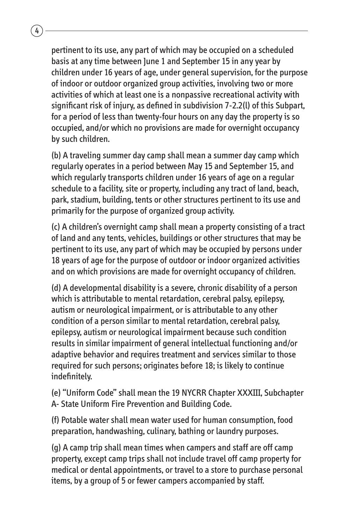pertinent to its use, any part of which may be occupied on a scheduled basis at any time between June 1 and September 15 in any year by children under 16 years of age, under general supervision, for the purpose of indoor or outdoor organized group activities, involving two or more activities of which at least one is a nonpassive recreational activity with significant risk of injury, as defined in subdivision 7-2.2(l) of this Subpart, for a period of less than twenty-four hours on any day the property is so occupied, and/or which no provisions are made for overnight occupancy by such children.

(b) A traveling summer day camp shall mean a summer day camp which regularly operates in a period between May 15 and September 15, and which regularly transports children under 16 years of age on a regular schedule to a facility, site or property, including any tract of land, beach, park, stadium, building, tents or other structures pertinent to its use and primarily for the purpose of organized group activity.

(c) A children's overnight camp shall mean a property consisting of a tract of land and any tents, vehicles, buildings or other structures that may be pertinent to its use, any part of which may be occupied by persons under 18 years of age for the purpose of outdoor or indoor organized activities and on which provisions are made for overnight occupancy of children.

(d) A developmental disability is a severe, chronic disability of a person which is attributable to mental retardation, cerebral palsy, epilepsy, autism or neurological impairment, or is attributable to any other condition of a person similar to mental retardation, cerebral palsy, epilepsy, autism or neurological impairment because such condition results in similar impairment of general intellectual functioning and/or adaptive behavior and requires treatment and services similar to those required for such persons; originates before 18; is likely to continue indefinitely.

(e) "Uniform Code" shall mean the 19 NYCRR Chapter XXXIII, Subchapter A- State Uniform Fire Prevention and Building Code.

(f) Potable water shall mean water used for human consumption, food preparation, handwashing, culinary, bathing or laundry purposes.

(g) A camp trip shall mean times when campers and staff are off camp property, except camp trips shall not include travel off camp property for medical or dental appointments, or travel to a store to purchase personal items, by a group of 5 or fewer campers accompanied by staff.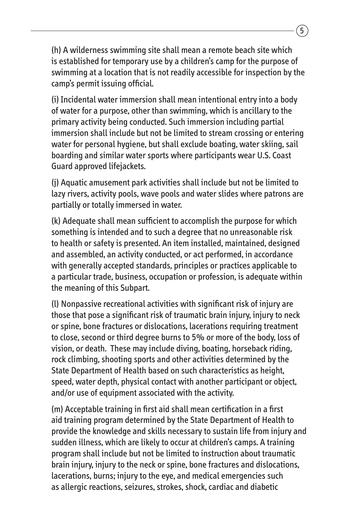(h) A wilderness swimming site shall mean a remote beach site which is established for temporary use by a children's camp for the purpose of swimming at a location that is not readily accessible for inspection by the camp's permit issuing official.

(i) Incidental water immersion shall mean intentional entry into a body of water for a purpose, other than swimming, which is ancillary to the primary activity being conducted. Such immersion including partial immersion shall include but not be limited to stream crossing or entering water for personal hygiene, but shall exclude boating, water skiing, sail boarding and similar water sports where participants wear U.S. Coast Guard approved lifejackets.

(j) Aquatic amusement park activities shall include but not be limited to lazy rivers, activity pools, wave pools and water slides where patrons are partially or totally immersed in water.

(k) Adequate shall mean sufficient to accomplish the purpose for which something is intended and to such a degree that no unreasonable risk to health or safety is presented. An item installed, maintained, designed and assembled, an activity conducted, or act performed, in accordance with generally accepted standards, principles or practices applicable to a particular trade, business, occupation or profession, is adequate within the meaning of this Subpart.

(l) Nonpassive recreational activities with significant risk of injury are those that pose a significant risk of traumatic brain injury, injury to neck or spine, bone fractures or dislocations, lacerations requiring treatment to close, second or third degree burns to 5% or more of the body, loss of vision, or death. These may include diving, boating, horseback riding, rock climbing, shooting sports and other activities determined by the State Department of Health based on such characteristics as height, speed, water depth, physical contact with another participant or object, and/or use of equipment associated with the activity.

(m) Acceptable training in first aid shall mean certification in a first aid training program determined by the State Department of Health to provide the knowledge and skills necessary to sustain life from injury and sudden illness, which are likely to occur at children's camps. A training program shall include but not be limited to instruction about traumatic brain injury, injury to the neck or spine, bone fractures and dislocations, lacerations, burns; injury to the eye, and medical emergencies such as allergic reactions, seizures, strokes, shock, cardiac and diabetic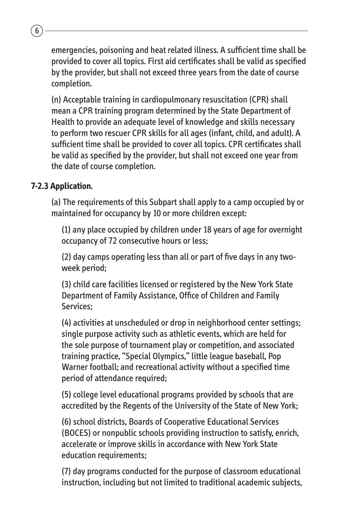emergencies, poisoning and heat related illness. A sufficient time shall be provided to cover all topics. First aid certificates shall be valid as specified by the provider, but shall not exceed three years from the date of course completion.

(n) Acceptable training in cardiopulmonary resuscitation (CPR) shall mean a CPR training program determined by the State Department of Health to provide an adequate level of knowledge and skills necessary to perform two rescuer CPR skills for all ages (infant, child, and adult). A sufficient time shall be provided to cover all topics. CPR certificates shall be valid as specified by the provider, but shall not exceed one year from the date of course completion.

#### **7-2.3 Application.**

 $6$ 

(a) The requirements of this Subpart shall apply to a camp occupied by or maintained for occupancy by 10 or more children except:

(1) any place occupied by children under 18 years of age for overnight occupancy of 72 consecutive hours or less;

(2) day camps operating less than all or part of five days in any twoweek period;

(3) child care facilities licensed or registered by the New York State Department of Family Assistance, Office of Children and Family Services; 

(4) activities at unscheduled or drop in neighborhood center settings; single purpose activity such as athletic events, which are held for the sole purpose of tournament play or competition, and associated training practice, "Special Olympics," little league baseball, Pop Warner football; and recreational activity without a specified time period of attendance required;

(5) college level educational programs provided by schools that are accredited by the Regents of the University of the State of New York;

(6) school districts, Boards of Cooperative Educational Services (BOCES) or nonpublic schools providing instruction to satisfy, enrich, accelerate or improve skills in accordance with New York State education requirements;

(7) day programs conducted for the purpose of classroom educational instruction, including but not limited to traditional academic subjects,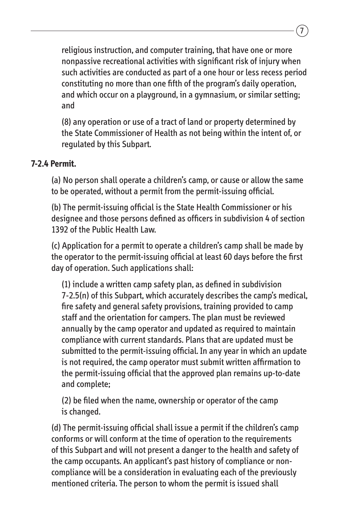religious instruction, and computer training, that have one or more nonpassive recreational activities with significant risk of injury when such activities are conducted as part of a one hour or less recess period constituting no more than one fifth of the program's daily operation, and which occur on a playground, in a gymnasium, or similar setting; and

(8) any operation or use of a tract of land or property determined by the State Commissioner of Health as not being within the intent of, or regulated by this Subpart.

#### **7-2.4 Permit.**

(a) No person shall operate a children's camp, or cause or allow the same to be operated, without a permit from the permit-issuing official.

(b) The permit-issuing official is the State Health Commissioner or his designee and those persons defined as officers in subdivision 4 of section 1392 of the Public Health Law.

(c) Application for a permit to operate a children's camp shall be made by the operator to the permit-issuing official at least 60 days before the first day of operation. Such applications shall:

(1) include a written camp safety plan, as defined in subdivision 7-2.5(n) of this Subpart, which accurately describes the camp's medical, fire safety and general safety provisions, training provided to camp staff and the orientation for campers. The plan must be reviewed annually by the camp operator and updated as required to maintain compliance with current standards. Plans that are updated must be submitted to the permit-issuing official. In any year in which an update is not required, the camp operator must submit written affirmation to the permit-issuing official that the approved plan remains up-to-date and complete;

(2) be filed when the name, ownership or operator of the camp is changed.

(d) The permit-issuing official shall issue a permit if the children's camp conforms or will conform at the time of operation to the requirements of this Subpart and will not present a danger to the health and safety of the camp occupants. An applicant's past history of compliance or noncompliance will be a consideration in evaluating each of the previously mentioned criteria. The person to whom the permit is issued shall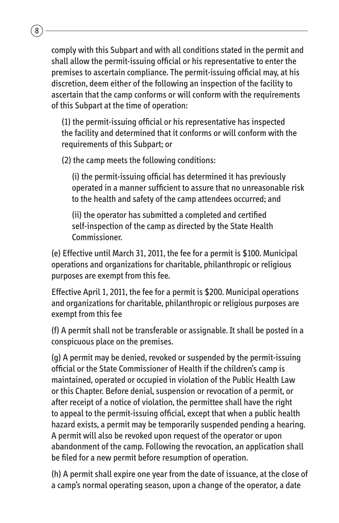comply with this Subpart and with all conditions stated in the permit and shall allow the permit-issuing official or his representative to enter the premises to ascertain compliance. The permit-issuing official may, at his discretion, deem either of the following an inspection of the facility to ascertain that the camp conforms or will conform with the requirements of this Subpart at the time of operation:

(1) the permit-issuing official or his representative has inspected the facility and determined that it conforms or will conform with the requirements of this Subpart; or

(2) the camp meets the following conditions:

 $\sqrt{8}$ 

(i) the permit-issuing official has determined it has previously operated in a manner sufficient to assure that no unreasonable risk to the health and safety of the camp attendees occurred; and

(ii) the operator has submitted a completed and certified self-inspection of the camp as directed by the State Health Commissioner.

(e) Effective until March 31, 2011, the fee for a permit is \$100. Municipal operations and organizations for charitable, philanthropic or religious purposes are exempt from this fee.

Effective April 1, 2011, the fee for a permit is \$200. Municipal operations and organizations for charitable, philanthropic or religious purposes are exempt from this fee

(f) A permit shall not be transferable or assignable. It shall be posted in a conspicuous place on the premises.

(g) A permit may be denied, revoked or suspended by the permit-issuing official or the State Commissioner of Health if the children's camp is maintained, operated or occupied in violation of the Public Health Law or this Chapter. Before denial, suspension or revocation of a permit, or after receipt of a notice of violation, the permittee shall have the right to appeal to the permit-issuing official, except that when a public health hazard exists, a permit may be temporarily suspended pending a hearing. A permit will also be revoked upon request of the operator or upon abandonment of the camp. Following the revocation, an application shall be filed for a new permit before resumption of operation.

(h) A permit shall expire one year from the date of issuance, at the close of a camp's normal operating season, upon a change of the operator, a date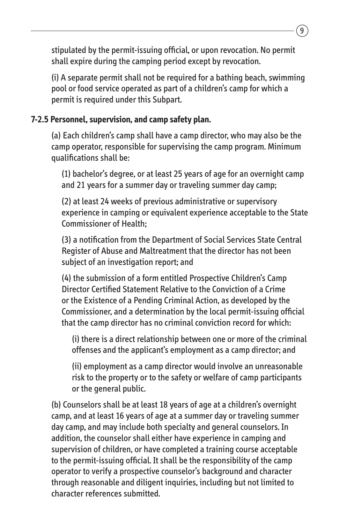stipulated by the permit-issuing official, or upon revocation. No permit shall expire during the camping period except by revocation.

(i) A separate permit shall not be required for a bathing beach, swimming pool or food service operated as part of a children's camp for which a permit is required under this Subpart.

#### **7-2.5 Personnel, supervision, and camp safety plan.**

(a) Each children's camp shall have a camp director, who may also be the camp operator, responsible for supervising the camp program. Minimum qualifications shall be:

(1) bachelor's degree, or at least 25 years of age for an overnight camp and 21 years for a summer day or traveling summer day camp;

(2) at least 24 weeks of previous administrative or supervisory experience in camping or equivalent experience acceptable to the State Commissioner of Health;

(3) a notification from the Department of Social Services State Central Register of Abuse and Maltreatment that the director has not been subject of an investigation report; and

(4) the submission of a form entitled Prospective Children's Camp Director Certified Statement Relative to the Conviction of a Crime or the Existence of a Pending Criminal Action, as developed by the Commissioner, and a determination by the local permit-issuing official that the camp director has no criminal conviction record for which:

(i) there is a direct relationship between one or more of the criminal offenses and the applicant's employment as a camp director; and

(ii) employment as a camp director would involve an unreasonable risk to the property or to the safety or welfare of camp participants or the general public.

(b) Counselors shall be at least 18 years of age at a children's overnight camp, and at least 16 years of age at a summer day or traveling summer day camp, and may include both specialty and general counselors. In addition, the counselor shall either have experience in camping and supervision of children, or have completed a training course acceptable to the permit-issuing official. It shall be the responsibility of the camp operator to verify a prospective counselor's background and character through reasonable and diligent inquiries, including but not limited to character references submitted.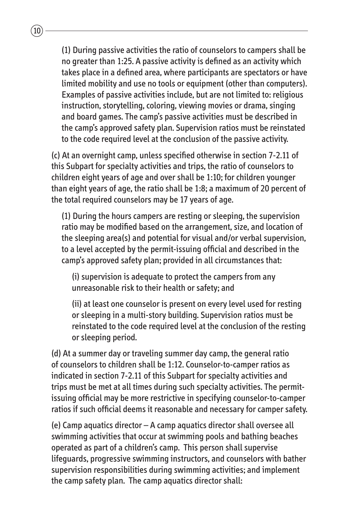(1) During passive activities the ratio of counselors to campers shall be no greater than 1:25. A passive activity is defined as an activity which takes place in a defined area, where participants are spectators or have limited mobility and use no tools or equipment (other than computers). Examples of passive activities include, but are not limited to: religious instruction, storytelling, coloring, viewing movies or drama, singing and board games. The camp's passive activities must be described in the camp's approved safety plan. Supervision ratios must be reinstated to the code required level at the conclusion of the passive activity.

(c) At an overnight camp, unless specified otherwise in section 7-2.11 of this Subpart for specialty activities and trips, the ratio of counselors to children eight years of age and over shall be 1:10; for children younger than eight years of age, the ratio shall be 1:8; a maximum of 20 percent of the total required counselors may be 17 years of age.

(1) During the hours campers are resting or sleeping, the supervision ratio may be modified based on the arrangement, size, and location of the sleeping area(s) and potential for visual and/or verbal supervision, to a level accepted by the permit-issuing official and described in the camp's approved safety plan; provided in all circumstances that:

(i) supervision is adequate to protect the campers from any unreasonable risk to their health or safety; and

(ii) at least one counselor is present on every level used for resting or sleeping in a multi-story building. Supervision ratios must be reinstated to the code required level at the conclusion of the resting or sleeping period.

(d) At a summer day or traveling summer day camp, the general ratio of counselors to children shall be 1:12. Counselor-to-camper ratios as indicated in section 7-2.11 of this Subpart for specialty activities and trips must be met at all times during such specialty activities. The permitissuing official may be more restrictive in specifying counselor-to-camper ratios if such official deems it reasonable and necessary for camper safety.

(e) Camp aquatics director – A camp aquatics director shall oversee all swimming activities that occur at swimming pools and bathing beaches operated as part of a children's camp. This person shall supervise lifeguards, progressive swimming instructors, and counselors with bather supervision responsibilities during swimming activities; and implement the camp safety plan. The camp aquatics director shall: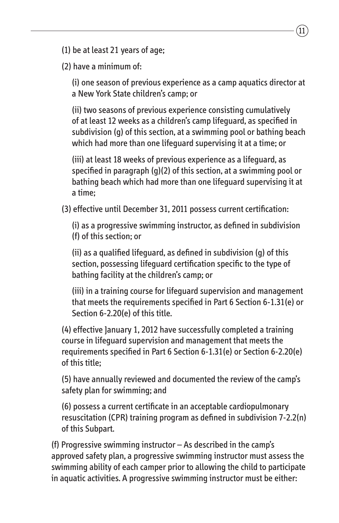(1) be at least 21 years of age;

(2) have a minimum of:

(i) one season of previous experience as a camp aquatics director at a New York State children's camp; or

11

(ii) two seasons of previous experience consisting cumulatively of at least 12 weeks as a children's camp lifeguard, as specified in subdivision (g) of this section, at a swimming pool or bathing beach which had more than one lifeguard supervising it at a time; or

(iii) at least 18 weeks of previous experience as a lifeguard, as specified in paragraph (g)(2) of this section, at a swimming pool or bathing beach which had more than one lifeguard supervising it at a time;

(3) effective until December 31, 2011 possess current certification:

(i) as a progressive swimming instructor, as defined in subdivision (f) of this section; or

(ii) as a qualified lifeguard, as defined in subdivision (g) of this section, possessing lifeguard certification specific to the type of bathing facility at the children's camp; or

(iii) in a training course for lifeguard supervision and management that meets the requirements specified in Part 6 Section 6-1.31(e) or Section 6-2.20(e) of this title.

(4) effective January 1, 2012 have successfully completed a training course in lifeguard supervision and management that meets the requirements specified in Part 6 Section 6-1.31(e) or Section 6-2.20(e) of this title;

(5) have annually reviewed and documented the review of the camp's safety plan for swimming; and

(6) possess a current certificate in an acceptable cardiopulmonary resuscitation (CPR) training program as defined in subdivision 7-2.2(n) of this Subpart.

(f) Progressive swimming instructor – As described in the camp's approved safety plan, a progressive swimming instructor must assess the swimming ability of each camper prior to allowing the child to participate in aquatic activities. A progressive swimming instructor must be either: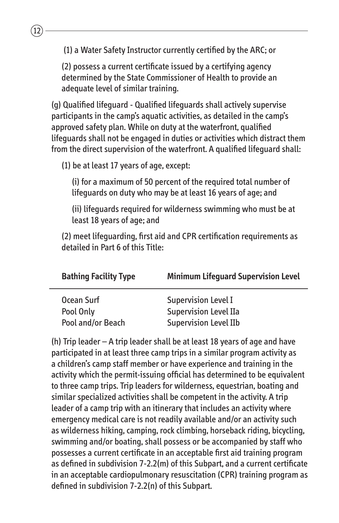(1) a Water Safety Instructor currently certified by the ARC; or

(2) possess a current certificate issued by a certifying agency determined by the State Commissioner of Health to provide an adequate level of similar training.

(g) Qualified lifeguard ‑ Qualified lifeguards shall actively supervise participants in the camp's aquatic activities, as detailed in the camp's approved safety plan. While on duty at the waterfront, qualified lifeguards shall not be engaged in duties or activities which distract them from the direct supervision of the waterfront. A qualified lifeguard shall:

(1) be at least 17 years of age, except:

(i) for a maximum of 50 percent of the required total number of lifeguards on duty who may be at least 16 years of age; and

(ii) lifeguards required for wilderness swimming who must be at least 18 years of age; and

(2) meet lifeguarding, first aid and CPR certification requirements as detailed in Part 6 of this Title:

| <b>Bathing Facility Type</b> | <b>Minimum Lifeguard Supervision Level</b> |
|------------------------------|--------------------------------------------|
| Ocean Surf                   | Supervision Level I                        |
| Pool Only                    | <b>Supervision Level IIa</b>               |
| Pool and/or Beach            | <b>Supervision Level IIb</b>               |

(h) Trip leader – A trip leader shall be at least 18 years of age and have participated in at least three camp trips in a similar program activity as a children's camp staff member or have experience and training in the activity which the permit-issuing official has determined to be equivalent to three camp trips. Trip leaders for wilderness, equestrian, boating and similar specialized activities shall be competent in the activity. A trip leader of a camp trip with an itinerary that includes an activity where emergency medical care is not readily available and/or an activity such as wilderness hiking, camping, rock climbing, horseback riding, bicycling, swimming and/or boating, shall possess or be accompanied by staff who possesses a current certificate in an acceptable first aid training program as defined in subdivision 7-2.2(m) of this Subpart, and a current certificate in an acceptable cardiopulmonary resuscitation (CPR) training program as defined in subdivision 7-2.2(n) of this Subpart.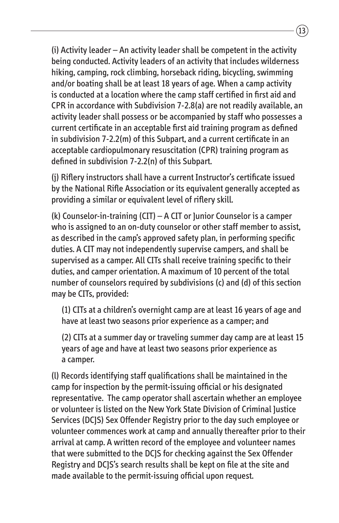(i) Activity leader – An activity leader shall be competent in the activity being conducted. Activity leaders of an activity that includes wilderness hiking, camping, rock climbing, horseback riding, bicycling, swimming and/or boating shall be at least 18 years of age. When a camp activity is conducted at a location where the camp staff certified in first aid and CPR in accordance with Subdivision 7-2.8(a) are not readily available, an activity leader shall possess or be accompanied by staff who possesses a current certificate in an acceptable first aid training program as defined in subdivision 7-2.2(m) of this Subpart, and a current certificate in an acceptable cardiopulmonary resuscitation (CPR) training program as defined in subdivision 7-2.2(n) of this Subpart.

(j) Riflery instructors shall have a current Instructor's certificate issued by the National Rifle Association or its equivalent generally accepted as providing a similar or equivalent level of riflery skill.

(k) Counselor-in-training (CIT) – A CIT or Junior Counselor is a camper who is assigned to an on-duty counselor or other staff member to assist, as described in the camp's approved safety plan, in performing specific duties. A CIT may not independently supervise campers, and shall be supervised as a camper. All CITs shall receive training specific to their duties, and camper orientation. A maximum of 10 percent of the total number of counselors required by subdivisions (c) and (d) of this section may be CITs, provided:

(1) CITs at a children's overnight camp are at least 16 years of age and have at least two seasons prior experience as a camper; and

(2) CITs at a summer day or traveling summer day camp are at least 15 years of age and have at least two seasons prior experience as a camper.

(l) Records identifying staff qualifications shall be maintained in the camp for inspection by the permit-issuing official or his designated representative. The camp operator shall ascertain whether an employee or volunteer is listed on the New York State Division of Criminal Justice Services (DCJS) Sex Offender Registry prior to the day such employee or volunteer commences work at camp and annually thereafter prior to their arrival at camp. A written record of the employee and volunteer names that were submitted to the DCJS for checking against the Sex Offender Registry and DCJS's search results shall be kept on file at the site and made available to the permit-issuing official upon request.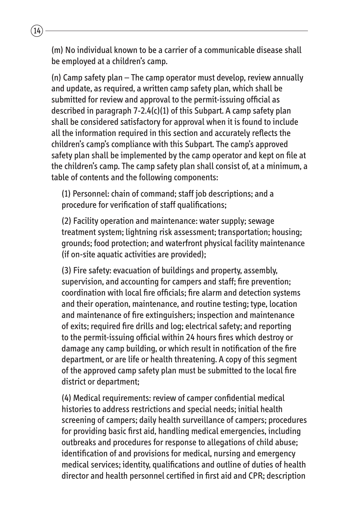(m) No individual known to be a carrier of a communicable disease shall be employed at a children's camp.

 $14$ 

(n) Camp safety plan – The camp operator must develop, review annually and update, as required, a written camp safety plan, which shall be submitted for review and approval to the permit-issuing official as described in paragraph 7-2.4(c)(1) of this Subpart. A camp safety plan shall be considered satisfactory for approval when it is found to include all the information required in this section and accurately reflects the children's camp's compliance with this Subpart. The camp's approved safety plan shall be implemented by the camp operator and kept on file at the children's camp. The camp safety plan shall consist of, at a minimum, a table of contents and the following components:

(1) Personnel: chain of command; staff job descriptions; and a procedure for verification of staff qualifications;

(2) Facility operation and maintenance: water supply; sewage treatment system; lightning risk assessment; transportation; housing; grounds; food protection; and waterfront physical facility maintenance (if on-site aquatic activities are provided);

(3) Fire safety: evacuation of buildings and property, assembly, supervision, and accounting for campers and staff; fire prevention; coordination with local fire officials; fire alarm and detection systems and their operation, maintenance, and routine testing; type, location and maintenance of fire extinguishers; inspection and maintenance of exits; required fire drills and log; electrical safety; and reporting to the permit-issuing official within 24 hours fires which destroy or damage any camp building, or which result in notification of the fire department, or are life or health threatening. A copy of this segment of the approved camp safety plan must be submitted to the local fire district or department;

(4) Medical requirements: review of camper confidential medical histories to address restrictions and special needs; initial health screening of campers; daily health surveillance of campers; procedures for providing basic first aid, handling medical emergencies, including outbreaks and procedures for response to allegations of child abuse; identification of and provisions for medical, nursing and emergency medical services; identity, qualifications and outline of duties of health director and health personnel certified in first aid and CPR; description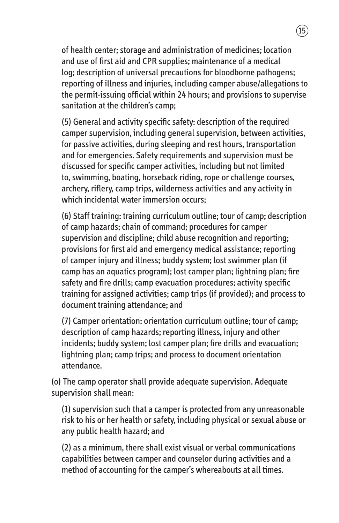of health center; storage and administration of medicines; location and use of first aid and CPR supplies; maintenance of a medical log; description of universal precautions for bloodborne pathogens; reporting of illness and injuries, including camper abuse/allegations to the permit-issuing official within 24 hours; and provisions to supervise sanitation at the children's camp;

(5) General and activity specific safety: description of the required camper supervision, including general supervision, between activities, for passive activities, during sleeping and rest hours, transportation and for emergencies. Safety requirements and supervision must be discussed for specific camper activities, including but not limited to, swimming, boating, horseback riding, rope or challenge courses, archery, riflery, camp trips, wilderness activities and any activity in which incidental water immersion occurs;

(6) Staff training: training curriculum outline; tour of camp; description of camp hazards; chain of command; procedures for camper supervision and discipline; child abuse recognition and reporting; provisions for first aid and emergency medical assistance; reporting of camper injury and illness; buddy system; lost swimmer plan (if camp has an aquatics program); lost camper plan; lightning plan; fire safety and fire drills; camp evacuation procedures; activity specific training for assigned activities; camp trips (if provided); and process to document training attendance; and

(7) Camper orientation: orientation curriculum outline; tour of camp; description of camp hazards; reporting illness, injury and other incidents; buddy system; lost camper plan; fire drills and evacuation; lightning plan; camp trips; and process to document orientation attendance.

(o) The camp operator shall provide adequate supervision. Adequate supervision shall mean:

(1) supervision such that a camper is protected from any unreasonable risk to his or her health or safety, including physical or sexual abuse or any public health hazard; and

(2) as a minimum, there shall exist visual or verbal communications capabilities between camper and counselor during activities and a method of accounting for the camper's whereabouts at all times.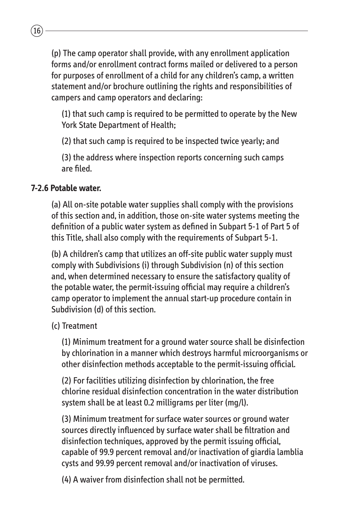(p) The camp operator shall provide, with any enrollment application forms and/or enrollment contract forms mailed or delivered to a person for purposes of enrollment of a child for any children's camp, a written statement and/or brochure outlining the rights and responsibilities of campers and camp operators and declaring:

(1) that such camp is required to be permitted to operate by the New York State Department of Health;

(2) that such camp is required to be inspected twice yearly; and

(3) the address where inspection reports concerning such camps are filed.

#### **7-2.6 Potable water.**

 $(16)$ 

(a) All on-site potable water supplies shall comply with the provisions of this section and, in addition, those on-site water systems meeting the definition of a public water system as defined in Subpart 5-1 of Part 5 of this Title, shall also comply with the requirements of Subpart 5-1.

(b) A children's camp that utilizes an off-site public water supply must comply with Subdivisions (i) through Subdivision (n) of this section and, when determined necessary to ensure the satisfactory quality of the potable water, the permit-issuing official may require a children's camp operator to implement the annual start-up procedure contain in Subdivision (d) of this section.

#### (c) Treatment

(1) Minimum treatment for a ground water source shall be disinfection by chlorination in a manner which destroys harmful microorganisms or other disinfection methods acceptable to the permit-issuing official.

(2) For facilities utilizing disinfection by chlorination, the free chlorine residual disinfection concentration in the water distribution system shall be at least 0.2 milligrams per liter (mg/l).

(3) Minimum treatment for surface water sources or ground water sources directly influenced by surface water shall be filtration and disinfection techniques, approved by the permit issuing official, capable of 99.9 percent removal and/or inactivation of giardia lamblia cysts and 99.99 percent removal and/or inactivation of viruses.

(4) A waiver from disinfection shall not be permitted.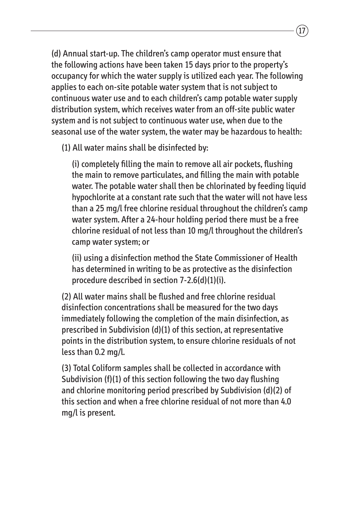(d) Annual start-up. The children's camp operator must ensure that the following actions have been taken 15 days prior to the property's occupancy for which the water supply is utilized each year. The following applies to each on-site potable water system that is not subject to continuous water use and to each children's camp potable water supply distribution system, which receives water from an off-site public water system and is not subject to continuous water use, when due to the seasonal use of the water system, the water may be hazardous to health:

(1) All water mains shall be disinfected by:

(i) completely filling the main to remove all air pockets, flushing the main to remove particulates, and filling the main with potable water. The potable water shall then be chlorinated by feeding liquid hypochlorite at a constant rate such that the water will not have less than a 25 mg/l free chlorine residual throughout the children's camp water system. After a 24-hour holding period there must be a free chlorine residual of not less than 10 mg/l throughout the children's camp water system; or

(ii) using a disinfection method the State Commissioner of Health has determined in writing to be as protective as the disinfection procedure described in section 7-2.6(d)(1)(i).

(2) All water mains shall be flushed and free chlorine residual disinfection concentrations shall be measured for the two days immediately following the completion of the main disinfection, as prescribed in Subdivision (d)(1) of this section, at representative points in the distribution system, to ensure chlorine residuals of not less than 0.2 mg/l.

(3) Total Coliform samples shall be collected in accordance with Subdivision (f)(1) of this section following the two day flushing and chlorine monitoring period prescribed by Subdivision (d)(2) of this section and when a free chlorine residual of not more than 4.0 mg/l is present.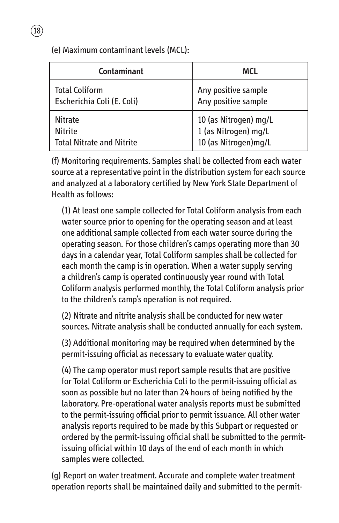(e) Maximum contaminant levels (MCL):

| Contaminant                      | <b>MCL</b>            |
|----------------------------------|-----------------------|
| <b>Total Coliform</b>            | Any positive sample   |
| Escherichia Coli (E. Coli)       | Any positive sample   |
| <b>Nitrate</b>                   | 10 (as Nitrogen) mg/L |
| <b>Nitrite</b>                   | 1 (as Nitrogen) mg/L  |
| <b>Total Nitrate and Nitrite</b> | 10 (as Nitrogen) mg/L |

(f) Monitoring requirements. Samples shall be collected from each water source at a representative point in the distribution system for each source and analyzed at a laboratory certified by New York State Department of Health as follows:

(1) At least one sample collected for Total Coliform analysis from each water source prior to opening for the operating season and at least one additional sample collected from each water source during the operating season. For those children's camps operating more than 30 days in a calendar year, Total Coliform samples shall be collected for each month the camp is in operation. When a water supply serving a children's camp is operated continuously year round with Total Coliform analysis performed monthly, the Total Coliform analysis prior to the children's camp's operation is not required.

(2) Nitrate and nitrite analysis shall be conducted for new water sources. Nitrate analysis shall be conducted annually for each system.

(3) Additional monitoring may be required when determined by the permit-issuing official as necessary to evaluate water quality.

(4) The camp operator must report sample results that are positive for Total Coliform or Escherichia Coli to the permit-issuing official as soon as possible but no later than 24 hours of being notified by the laboratory. Pre-operational water analysis reports must be submitted to the permit-issuing official prior to permit issuance. All other water analysis reports required to be made by this Subpart or requested or ordered by the permit-issuing official shall be submitted to the permitissuing official within 10 days of the end of each month in which samples were collected.

(g) Report on water treatment. Accurate and complete water treatment operation reports shall be maintained daily and submitted to the permit-

 $\sqrt{18}$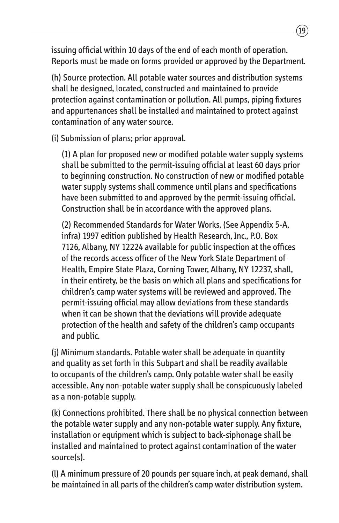issuing official within 10 days of the end of each month of operation. Reports must be made on forms provided or approved by the Department.

(h) Source protection. All potable water sources and distribution systems shall be designed, located, constructed and maintained to provide protection against contamination or pollution. All pumps, piping fixtures and appurtenances shall be installed and maintained to protect against contamination of any water source.

(i) Submission of plans; prior approval.

(1) A plan for proposed new or modified potable water supply systems shall be submitted to the permit-issuing official at least 60 days prior to beginning construction. No construction of new or modified potable water supply systems shall commence until plans and specifications have been submitted to and approved by the permit-issuing official. Construction shall be in accordance with the approved plans.

(2) Recommended Standards for Water Works, (See Appendix 5-A, infra) 1997 edition published by Health Research, Inc., P.O. Box 7126, Albany, NY 12224 available for public inspection at the offices of the records access officer of the New York State Department of Health, Empire State Plaza, Corning Tower, Albany, NY 12237, shall, in their entirety, be the basis on which all plans and specifications for children's camp water systems will be reviewed and approved. The permit-issuing official may allow deviations from these standards when it can be shown that the deviations will provide adequate protection of the health and safety of the children's camp occupants and public.

(j) Minimum standards. Potable water shall be adequate in quantity and quality as set forth in this Subpart and shall be readily available to occupants of the children's camp. Only potable water shall be easily accessible. Any non-potable water supply shall be conspicuously labeled as a non-potable supply.

(k) Connections prohibited. There shall be no physical connection between the potable water supply and any non-potable water supply. Any fixture, installation or equipment which is subject to back-siphonage shall be installed and maintained to protect against contamination of the water source(s).

(I) A minimum pressure of 20 pounds per square inch, at peak demand, shall be maintained in all parts of the children's camp water distribution system.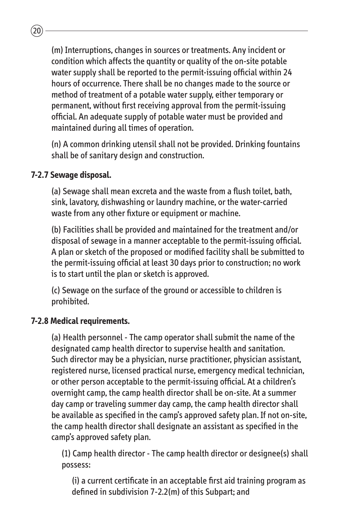(m) Interruptions, changes in sources or treatments. Any incident or condition which affects the quantity or quality of the on-site potable water supply shall be reported to the permit-issuing official within 24 hours of occurrence. There shall be no changes made to the source or method of treatment of a potable water supply, either temporary or permanent, without first receiving approval from the permit-issuing official. An adequate supply of potable water must be provided and maintained during all times of operation.

(n) A common drinking utensil shall not be provided. Drinking fountains shall be of sanitary design and construction.

#### **7-2.7 Sewage disposal.**

 $\widehat{20}$ 

(a) Sewage shall mean excreta and the waste from a flush toilet, bath, sink, lavatory, dishwashing or laundry machine, or the water-carried waste from any other fixture or equipment or machine.

(b) Facilities shall be provided and maintained for the treatment and/or disposal of sewage in a manner acceptable to the permit-issuing official. A plan or sketch of the proposed or modified facility shall be submitted to the permit-issuing official at least 30 days prior to construction; no work is to start until the plan or sketch is approved.

(c) Sewage on the surface of the ground or accessible to children is prohibited.

#### **7-2.8 Medical requirements.**

(a) Health personnel ‑ The camp operator shall submit the name of the designated camp health director to supervise health and sanitation. Such director may be a physician, nurse practitioner, physician assistant, registered nurse, licensed practical nurse, emergency medical technician, or other person acceptable to the permit-issuing official. At a children's overnight camp, the camp health director shall be on-site. At a summer day camp or traveling summer day camp, the camp health director shall be available as specified in the camp's approved safety plan. If not on-site, the camp health director shall designate an assistant as specified in the camp's approved safety plan.

(1) Camp health director - The camp health director or designee(s) shall possess:

(i) a current certificate in an acceptable first aid training program as defined in subdivision 7-2.2(m) of this Subpart; and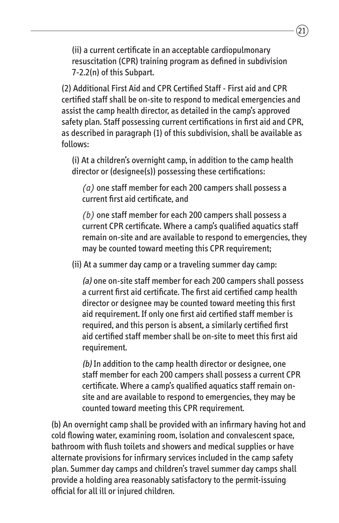(ii) a current certificate in an acceptable cardiopulmonary resuscitation (CPR) training program as defined in subdivision 7-2.2(n) of this Subpart.

(2) Additional First Aid and CPR Certified Staff ‑ First aid and CPR certified staff shall be on-site to respond to medical emergencies and assist the camp health director, as detailed in the camp's approved safety plan. Staff possessing current certifications in first aid and CPR, as described in paragraph (1) of this subdivision, shall be available as follows:

(i) At a children's overnight camp, in addition to the camp health director or (designee(s)) possessing these certifications:

*(a)* one staff member for each 200 campers shall possess a current first aid certificate, and

*(b)* one staff member for each 200 campers shall possess a current CPR certificate. Where a camp's qualified aquatics staff remain on-site and are available to respond to emergencies, they may be counted toward meeting this CPR requirement;

(ii) At a summer day camp or a traveling summer day camp:

(a) one on-site staff member for each 200 campers shall possess a current first aid certificate. The first aid certified camp health director or designee may be counted toward meeting this first aid requirement. If only one first aid certified staff member is required, and this person is absent, a similarly certified first aid certified staff member shall be on-site to meet this first aid requirement.

(b) In addition to the camp health director or designee, one staff member for each 200 campers shall possess a current CPR certificate. Where a camp's qualified aquatics staff remain onsite and are available to respond to emergencies, they may be counted toward meeting this CPR requirement.

(b) An overnight camp shall be provided with an infirmary having hot and cold flowing water, examining room, isolation and convalescent space, bathroom with flush toilets and showers and medical supplies or have alternate provisions for infirmary services included in the camp safety plan. Summer day camps and children's travel summer day camps shall provide a holding area reasonably satisfactory to the permit-issuing official for all ill or injured children.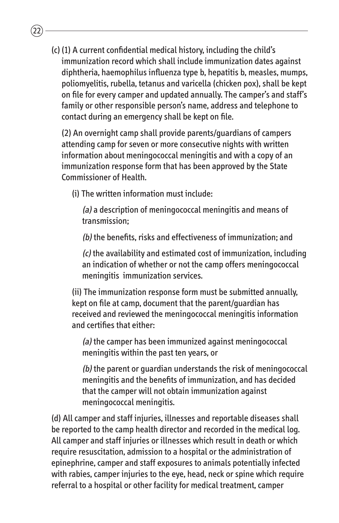(c) (1) A current confidential medical history, including the child's immunization record which shall include immunization dates against diphtheria, haemophilus influenza type b, hepatitis b, measles, mumps, poliomyelitis, rubella, tetanus and varicella (chicken pox), shall be kept on file for every camper and updated annually. The camper's and staff's family or other responsible person's name, address and telephone to contact during an emergency shall be kept on file.

(2) An overnight camp shall provide parents/guardians of campers attending camp for seven or more consecutive nights with written information about meningococcal meningitis and with a copy of an immunization response form that has been approved by the State Commissioner of Health.

(i) The written information must include:

22

(a) a description of meningococcal meningitis and means of transmission;

(b) the benefits, risks and effectiveness of immunization; and

(c) the availability and estimated cost of immunization, including an indication of whether or not the camp offers meningococcal meningitis immunization services.

(ii) The immunization response form must be submitted annually, kept on file at camp, document that the parent/guardian has received and reviewed the meningococcal meningitis information and certifies that either:

(a) the camper has been immunized against meningococcal meningitis within the past ten years, or

(b) the parent or guardian understands the risk of meningococcal meningitis and the benefits of immunization, and has decided that the camper will not obtain immunization against meningococcal meningitis.

(d) All camper and staff injuries, illnesses and reportable diseases shall be reported to the camp health director and recorded in the medical log. All camper and staff injuries or illnesses which result in death or which require resuscitation, admission to a hospital or the administration of epinephrine, camper and staff exposures to animals potentially infected with rabies, camper injuries to the eye, head, neck or spine which require referral to a hospital or other facility for medical treatment, camper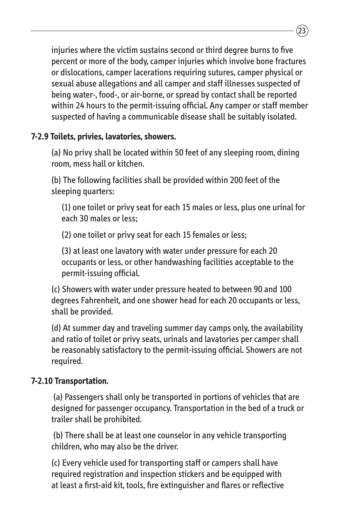injuries where the victim sustains second or third degree burns to five percent or more of the body, camper injuries which involve bone fractures or dislocations, camper lacerations requiring sutures, camper physical or sexual abuse allegations and all camper and staff illnesses suspected of being water-, food-, or air-borne, or spread by contact shall be reported within 24 hours to the permit-issuing official. Any camper or staff member suspected of having a communicable disease shall be suitably isolated.

#### **7-2.9 Toilets, privies, lavatories, showers.**

(a) No privy shall be located within 50 feet of any sleeping room, dining room, mess hall or kitchen.

(b) The following facilities shall be provided within 200 feet of the sleeping quarters:

(1) one toilet or privy seat for each 15 males or less, plus one urinal for each 30 males or less;

(2) one toilet or privy seat for each 15 females or less;

(3) at least one lavatory with water under pressure for each 20 occupants or less, or other handwashing facilities acceptable to the permit-issuing official.

(c) Showers with water under pressure heated to between 90 and 100 degrees Fahrenheit, and one shower head for each 20 occupants or less, shall be provided.

(d) At summer day and traveling summer day camps only, the availability and ratio of toilet or privy seats, urinals and lavatories per camper shall be reasonably satisfactory to the permit-issuing official. Showers are not required.

#### **7-2.10 Transportation.**

(a) Passengers shall only be transported in portions of vehicles that are designed for passenger occupancy. Transportation in the bed of a truck or trailer shall be prohibited.

(b) There shall be at least one counselor in any vehicle transporting children, who may also be the driver.

(c) Every vehicle used for transporting staff or campers shall have required registration and inspection stickers and be equipped with at least a first-aid kit, tools, fire extinguisher and flares or reflective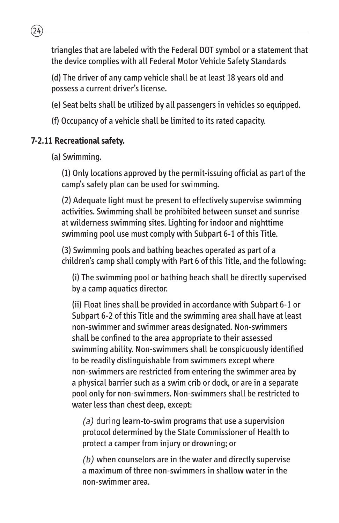triangles that are labeled with the Federal DOT symbol or a statement that the device complies with all Federal Motor Vehicle Safety Standards

(d) The driver of any camp vehicle shall be at least 18 years old and possess a current driver's license.

- (e) Seat belts shall be utilized by all passengers in vehicles so equipped.
- (f) Occupancy of a vehicle shall be limited to its rated capacity.

#### **7-2.11 Recreational safety.**

 $\sqrt{24}$ 

(a) Swimming.

(1) Only locations approved by the permit-issuing official as part of the camp's safety plan can be used for swimming.

(2) Adequate light must be present to effectively supervise swimming activities. Swimming shall be prohibited between sunset and sunrise at wilderness swimming sites. Lighting for indoor and nighttime swimming pool use must comply with Subpart 6-1 of this Title.

(3) Swimming pools and bathing beaches operated as part of a children's camp shall comply with Part 6 of this Title, and the following:

(i) The swimming pool or bathing beach shall be directly supervised by a camp aquatics director.

(ii) Float lines shall be provided in accordance with Subpart 6-1 or Subpart 6-2 of this Title and the swimming area shall have at least non-swimmer and swimmer areas designated. Non-swimmers shall be confined to the area appropriate to their assessed swimming ability. Non-swimmers shall be conspicuously identified to be readily distinguishable from swimmers except where non-swimmers are restricted from entering the swimmer area by a physical barrier such as a swim crib or dock, or are in a separate pool only for non-swimmers. Non-swimmers shall be restricted to water less than chest deep, except:

(a) during learn-to-swim programs that use a supervision protocol determined by the State Commissioner of Health to protect a camper from injury or drowning; or

 $(b)$  when counselors are in the water and directly supervise a maximum of three non-swimmers in shallow water in the non-swimmer area.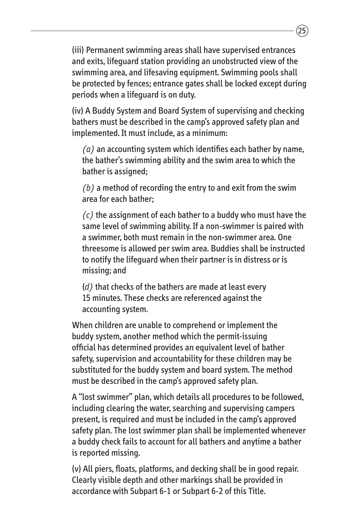(iii) Permanent swimming areas shall have supervised entrances and exits, lifeguard station providing an unobstructed view of the swimming area, and lifesaving equipment. Swimming pools shall be protected by fences; entrance gates shall be locked except during periods when a lifeguard is on duty.

(iv) A Buddy System and Board System of supervising and checking bathers must be described in the camp's approved safety plan and implemented. It must include, as a minimum:

*(a)* an accounting system which identifies each bather by name, the bather's swimming ability and the swim area to which the bather is assigned;

*(b)* a method of recording the entry to and exit from the swim area for each bather;

*(c)* the assignment of each bather to a buddy who must have the same level of swimming ability. If a non-swimmer is paired with a swimmer, both must remain in the non-swimmer area. One threesome is allowed per swim area. Buddies shall be instructed to notify the lifeguard when their partner is in distress or is missing; and

(*d)* that checks of the bathers are made at least every 15 minutes. These checks are referenced against the accounting system.

When children are unable to comprehend or implement the buddy system, another method which the permit-issuing official has determined provides an equivalent level of bather safety, supervision and accountability for these children may be substituted for the buddy system and board system. The method must be described in the camp's approved safety plan.

A "lost swimmer" plan, which details all procedures to be followed, including clearing the water, searching and supervising campers present, is required and must be included in the camp's approved safety plan. The lost swimmer plan shall be implemented whenever a buddy check fails to account for all bathers and anytime a bather is reported missing.

(v) All piers, floats, platforms, and decking shall be in good repair. Clearly visible depth and other markings shall be provided in accordance with Subpart 6-1 or Subpart 6-2 of this Title.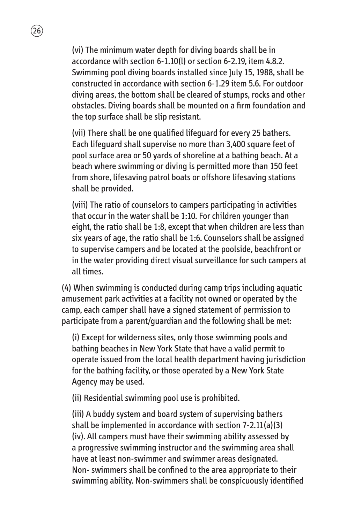(vi) The minimum water depth for diving boards shall be in accordance with section 6-1.10(l) or section 6-2.19, item 4.8.2. Swimming pool diving boards installed since July 15, 1988, shall be constructed in accordance with section 6-1.29 item 5.6. For outdoor diving areas, the bottom shall be cleared of stumps, rocks and other obstacles. Diving boards shall be mounted on a firm foundation and the top surface shall be slip resistant.

 $26$ 

(vii) There shall be one qualified lifeguard for every 25 bathers. Each lifeguard shall supervise no more than 3,400 square feet of pool surface area or 50 yards of shoreline at a bathing beach. At a beach where swimming or diving is permitted more than 150 feet from shore, lifesaving patrol boats or offshore lifesaving stations shall be provided.

(viii) The ratio of counselors to campers participating in activities that occur in the water shall be 1:10. For children younger than eight, the ratio shall be 1:8, except that when children are less than six years of age, the ratio shall be 1:6. Counselors shall be assigned to supervise campers and be located at the poolside, beachfront or in the water providing direct visual surveillance for such campers at all times.

(4) When swimming is conducted during camp trips including aquatic amusement park activities at a facility not owned or operated by the camp, each camper shall have a signed statement of permission to participate from a parent/guardian and the following shall be met:

(i) Except for wilderness sites, only those swimming pools and bathing beaches in New York State that have a valid permit to operate issued from the local health department having jurisdiction for the bathing facility, or those operated by a New York State Agency may be used.

(ii) Residential swimming pool use is prohibited.

(iii) A buddy system and board system of supervising bathers shall be implemented in accordance with section 7-2.11(a)(3) (iv). All campers must have their swimming ability assessed by a progressive swimming instructor and the swimming area shall have at least non-swimmer and swimmer areas designated. Non- swimmers shall be confined to the area appropriate to their swimming ability. Non-swimmers shall be conspicuously identified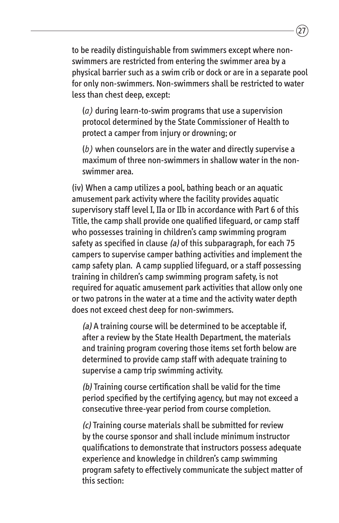to be readily distinguishable from swimmers except where nonswimmers are restricted from entering the swimmer area by a physical barrier such as a swim crib or dock or are in a separate pool for only non-swimmers. Non-swimmers shall be restricted to water less than chest deep, except:

(*a)* during learn-to-swim programs that use a supervision protocol determined by the State Commissioner of Health to protect a camper from injury or drowning; or

(*b)* when counselors are in the water and directly supervise a maximum of three non-swimmers in shallow water in the nonswimmer area.

(iv) When a camp utilizes a pool, bathing beach or an aquatic amusement park activity where the facility provides aquatic supervisory staff level I, IIa or IIb in accordance with Part 6 of this Title, the camp shall provide one qualified lifeguard, or camp staff who possesses training in children's camp swimming program safety as specified in clause (a) of this subparagraph, for each  $75$ campers to supervise camper bathing activities and implement the camp safety plan. A camp supplied lifeguard, or a staff possessing training in children's camp swimming program safety, is not required for aquatic amusement park activities that allow only one or two patrons in the water at a time and the activity water depth does not exceed chest deep for non-swimmers.

(a) A training course will be determined to be acceptable if, after a review by the State Health Department, the materials and training program covering those items set forth below are determined to provide camp staff with adequate training to supervise a camp trip swimming activity.

(b) Training course certification shall be valid for the time period specified by the certifying agency, but may not exceed a consecutive three-year period from course completion.

(c) Training course materials shall be submitted for review by the course sponsor and shall include minimum instructor qualifications to demonstrate that instructors possess adequate experience and knowledge in children's camp swimming program safety to effectively communicate the subject matter of this section: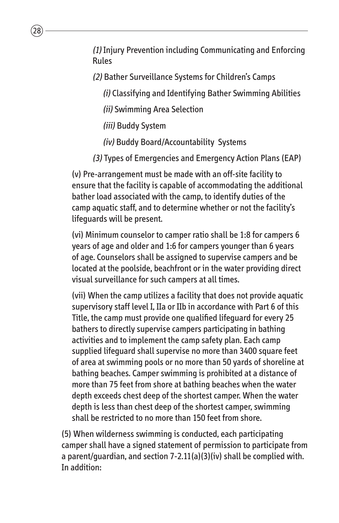(1) Injury Prevention including Communicating and Enforcing Rules

(2) Bather Surveillance Systems for Children's Camps

(i) Classifying and Identifying Bather Swimming Abilities

(ii) Swimming Area Selection

(iii) Buddy System

 $28$ 

(iv) Buddy Board/Accountability Systems

(3) Types of Emergencies and Emergency Action Plans (EAP)

(v) Pre-arrangement must be made with an off-site facility to ensure that the facility is capable of accommodating the additional bather load associated with the camp, to identify duties of the camp aquatic staff, and to determine whether or not the facility's lifeguards will be present.

(vi) Minimum counselor to camper ratio shall be 1:8 for campers 6 years of age and older and 1:6 for campers younger than 6 years of age. Counselors shall be assigned to supervise campers and be located at the poolside, beachfront or in the water providing direct visual surveillance for such campers at all times.

(vii) When the camp utilizes a facility that does not provide aquatic supervisory staff level I, IIa or IIb in accordance with Part 6 of this Title, the camp must provide one qualified lifeguard for every 25 bathers to directly supervise campers participating in bathing activities and to implement the camp safety plan. Each camp supplied lifeguard shall supervise no more than 3400 square feet of area at swimming pools or no more than 50 yards of shoreline at bathing beaches. Camper swimming is prohibited at a distance of more than 75 feet from shore at bathing beaches when the water depth exceeds chest deep of the shortest camper. When the water depth is less than chest deep of the shortest camper, swimming shall be restricted to no more than 150 feet from shore.

(5) When wilderness swimming is conducted, each participating camper shall have a signed statement of permission to participate from a parent/guardian, and section 7-2.11(a)(3)(iv) shall be complied with. In addition: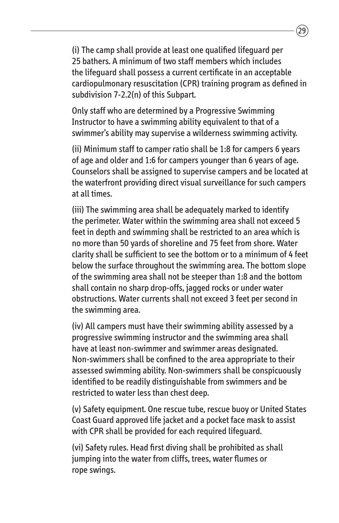(i) The camp shall provide at least one qualified lifeguard per 25 bathers. A minimum of two staff members which includes the lifeguard shall possess a current certificate in an acceptable cardiopulmonary resuscitation (CPR) training program as defined in subdivision 7-2.2(n) of this Subpart.

Only staff who are determined by a Progressive Swimming Instructor to have a swimming ability equivalent to that of a swimmer's ability may supervise a wilderness swimming activity.

(ii) Minimum staff to camper ratio shall be 1:8 for campers 6 years of age and older and 1:6 for campers younger than 6 years of age. Counselors shall be assigned to supervise campers and be located at the waterfront providing direct visual surveillance for such campers at all times.

(iii) The swimming area shall be adequately marked to identify the perimeter. Water within the swimming area shall not exceed 5 feet in depth and swimming shall be restricted to an area which is no more than 50 yards of shoreline and 75 feet from shore. Water clarity shall be sufficient to see the bottom or to a minimum of 4 feet below the surface throughout the swimming area. The bottom slope of the swimming area shall not be steeper than 1:8 and the bottom shall contain no sharp drop-offs, jagged rocks or under water obstructions. Water currents shall not exceed 3 feet per second in the swimming area.

(iv) All campers must have their swimming ability assessed by a progressive swimming instructor and the swimming area shall have at least non-swimmer and swimmer areas designated. Non-swimmers shall be confined to the area appropriate to their assessed swimming ability. Non-swimmers shall be conspicuously identified to be readily distinguishable from swimmers and be restricted to water less than chest deep.

(v) Safety equipment. One rescue tube, rescue buoy or United States Coast Guard approved life jacket and a pocket face mask to assist with CPR shall be provided for each required lifeguard.

(vi) Safety rules. Head first diving shall be prohibited as shall jumping into the water from cliffs, trees, water flumes or rope swings.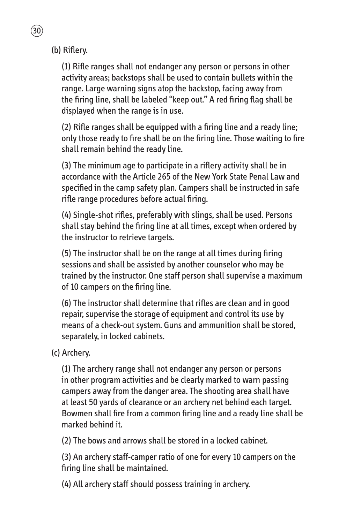(b) Riflery.

(1) Rifle ranges shall not endanger any person or persons in other activity areas; backstops shall be used to contain bullets within the range. Large warning signs atop the backstop, facing away from the firing line, shall be labeled "keep out." A red firing flag shall be displayed when the range is in use.

(2) Rifle ranges shall be equipped with a firing line and a ready line; only those ready to fire shall be on the firing line. Those waiting to fire shall remain behind the ready line.

(3) The minimum age to participate in a riflery activity shall be in accordance with the Article 265 of the New York State Penal Law and specified in the camp safety plan. Campers shall be instructed in safe rifle range procedures before actual firing.

(4) Single-shot rifles, preferably with slings, shall be used. Persons shall stay behind the firing line at all times, except when ordered by the instructor to retrieve targets.

(5) The instructor shall be on the range at all times during firing sessions and shall be assisted by another counselor who may be trained by the instructor. One staff person shall supervise a maximum of 10 campers on the firing line.

(6) The instructor shall determine that rifles are clean and in good repair, supervise the storage of equipment and control its use by means of a check-out system. Guns and ammunition shall be stored, separately, in locked cabinets.

(c) Archery.

(1) The archery range shall not endanger any person or persons in other program activities and be clearly marked to warn passing campers away from the danger area. The shooting area shall have at least 50 yards of clearance or an archery net behind each target. Bowmen shall fire from a common firing line and a ready line shall be marked behind it.

(2) The bows and arrows shall be stored in a locked cabinet.

(3) An archery staff-camper ratio of one for every 10 campers on the firing line shall be maintained.

(4) All archery staff should possess training in archery.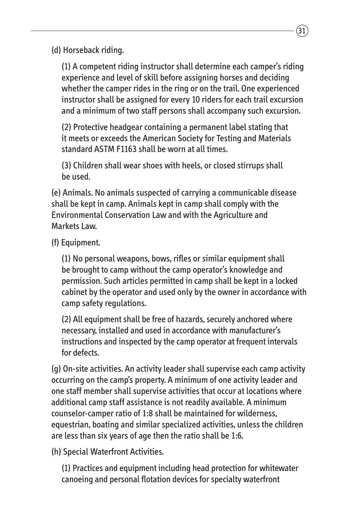(d) Horseback riding.

(1) A competent riding instructor shall determine each camper's riding experience and level of skill before assigning horses and deciding whether the camper rides in the ring or on the trail. One experienced instructor shall be assigned for every 10 riders for each trail excursion and a minimum of two staff persons shall accompany such excursion.

(2) Protective headgear containing a permanent label stating that it meets or exceeds the American Society for Testing and Materials standard ASTM F1163 shall be worn at all times.

(3) Children shall wear shoes with heels, or closed stirrups shall be used.

(e) Animals. No animals suspected of carrying a communicable disease shall be kept in camp. Animals kept in camp shall comply with the Environmental Conservation Law and with the Agriculture and Markets Law.

(f) Equipment.

(1) No personal weapons, bows, rifles or similar equipment shall be brought to camp without the camp operator's knowledge and permission. Such articles permitted in camp shall be kept in a locked cabinet by the operator and used only by the owner in accordance with camp safety regulations.

(2) All equipment shall be free of hazards, securely anchored where necessary, installed and used in accordance with manufacturer's instructions and inspected by the camp operator at frequent intervals for defects.

(g) On-site activities. An activity leader shall supervise each camp activity occurring on the camp's property. A minimum of one activity leader and one staff member shall supervise activities that occur at locations where additional camp staff assistance is not readily available. A minimum counselor-camper ratio of 1:8 shall be maintained for wilderness, equestrian, boating and similar specialized activities, unless the children are less than six years of age then the ratio shall be 1:6.

(h) Special Waterfront Activities.

(1) Practices and equipment including head protection for whitewater canoeing and personal flotation devices for specialty waterfront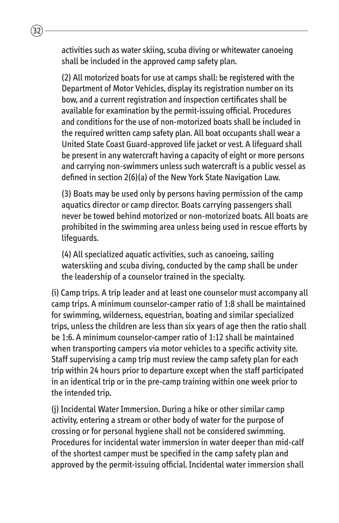activities such as water skiing, scuba diving or whitewater canoeing shall be included in the approved camp safety plan.

(2) All motorized boats for use at camps shall: be registered with the Department of Motor Vehicles, display its registration number on its bow, and a current registration and inspection certificates shall be available for examination by the permit-issuing official. Procedures and conditions for the use of non-motorized boats shall be included in the required written camp safety plan. All boat occupants shall wear a United State Coast Guard-approved life jacket or vest. A lifeguard shall be present in any watercraft having a capacity of eight or more persons and carrying non-swimmers unless such watercraft is a public vessel as defined in section 2(6)(a) of the New York State Navigation Law.

(3) Boats may be used only by persons having permission of the camp aquatics director or camp director. Boats carrying passengers shall never be towed behind motorized or non-motorized boats. All boats are prohibited in the swimming area unless being used in rescue efforts by lifeguards.

(4) All specialized aquatic activities, such as canoeing, sailing waterskiing and scuba diving, conducted by the camp shall be under the leadership of a counselor trained in the specialty.

(i) Camp trips. A trip leader and at least one counselor must accompany all camp trips. A minimum counselor-camper ratio of 1:8 shall be maintained for swimming, wilderness, equestrian, boating and similar specialized trips, unless the children are less than six years of age then the ratio shall be 1:6. A minimum counselor-camper ratio of 1:12 shall be maintained when transporting campers via motor vehicles to a specific activity site. Staff supervising a camp trip must review the camp safety plan for each trip within 24 hours prior to departure except when the staff participated in an identical trip or in the pre-camp training within one week prior to the intended trip.

(j) Incidental Water Immersion. During a hike or other similar camp activity, entering a stream or other body of water for the purpose of crossing or for personal hygiene shall not be considered swimming. Procedures for incidental water immersion in water deeper than mid-calf of the shortest camper must be specified in the camp safety plan and approved by the permit-issuing official. Incidental water immersion shall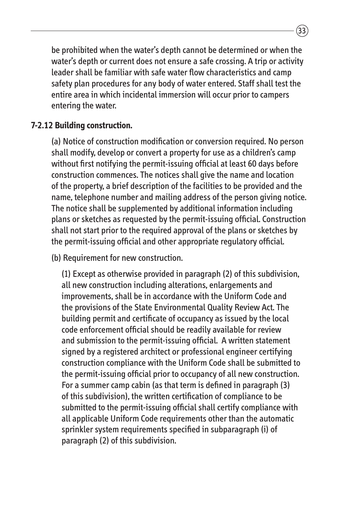be prohibited when the water's depth cannot be determined or when the water's depth or current does not ensure a safe crossing. A trip or activity leader shall be familiar with safe water flow characteristics and camp safety plan procedures for any body of water entered. Staff shall test the entire area in which incidental immersion will occur prior to campers entering the water.

#### **7-2.12 Building construction.**

(a) Notice of construction modification or conversion required. No person shall modify, develop or convert a property for use as a children's camp without first notifying the permit-issuing official at least 60 days before construction commences. The notices shall give the name and location of the property, a brief description of the facilities to be provided and the name, telephone number and mailing address of the person giving notice. The notice shall be supplemented by additional information including plans or sketches as requested by the permit-issuing official. Construction shall not start prior to the required approval of the plans or sketches by the permit-issuing official and other appropriate regulatory official.

(b) Requirement for new construction.

(1) Except as otherwise provided in paragraph (2) of this subdivision, all new construction including alterations, enlargements and improvements, shall be in accordance with the Uniform Code and the provisions of the State Environmental Quality Review Act. The building permit and certificate of occupancy as issued by the local code enforcement official should be readily available for review and submission to the permit-issuing official. A written statement signed by a registered architect or professional engineer certifying construction compliance with the Uniform Code shall be submitted to the permit-issuing official prior to occupancy of all new construction. For a summer camp cabin (as that term is defined in paragraph (3) of this subdivision), the written certification of compliance to be submitted to the permit-issuing official shall certify compliance with all applicable Uniform Code requirements other than the automatic sprinkler system requirements specified in subparagraph (i) of paragraph (2) of this subdivision.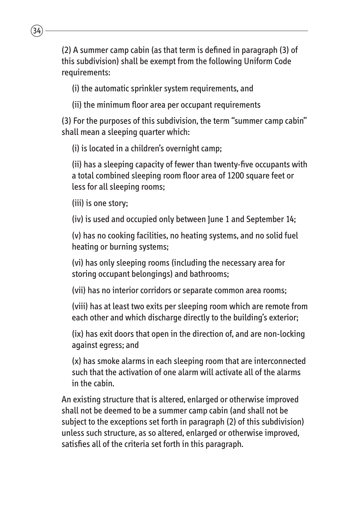(2) A summer camp cabin (as that term is defined in paragraph (3) of this subdivision) shall be exempt from the following Uniform Code requirements:

(i) the automatic sprinkler system requirements, and

(ii) the minimum floor area per occupant requirements

(3) For the purposes of this subdivision, the term "summer camp cabin" shall mean a sleeping quarter which:

(i) is located in a children's overnight camp;

(ii) has a sleeping capacity of fewer than twenty-five occupants with a total combined sleeping room floor area of 1200 square feet or less for all sleeping rooms;

(iii) is one story;

 $34$ 

(iv) is used and occupied only between June 1 and September 14;

(v) has no cooking facilities, no heating systems, and no solid fuel heating or burning systems;

(vi) has only sleeping rooms (including the necessary area for storing occupant belongings) and bathrooms;

(vii) has no interior corridors or separate common area rooms;

(viii) has at least two exits per sleeping room which are remote from each other and which discharge directly to the building's exterior;

(ix) has exit doors that open in the direction of, and are non-locking against egress; and

(x) has smoke alarms in each sleeping room that are interconnected such that the activation of one alarm will activate all of the alarms in the cabin.

An existing structure that is altered, enlarged or otherwise improved shall not be deemed to be a summer camp cabin (and shall not be subject to the exceptions set forth in paragraph (2) of this subdivision) unless such structure, as so altered, enlarged or otherwise improved, satisfies all of the criteria set forth in this paragraph.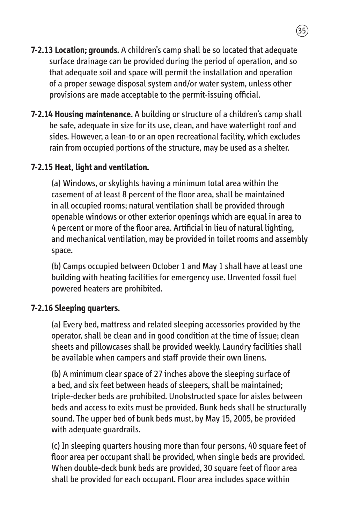- **7-2.13 Location; grounds.** A children's camp shall be so located that adequate surface drainage can be provided during the period of operation, and so that adequate soil and space will permit the installation and operation of a proper sewage disposal system and/or water system, unless other provisions are made acceptable to the permit-issuing official.
- **7-2.14 Housing maintenance.** A building or structure of a children's camp shall be safe, adequate in size for its use, clean, and have watertight roof and sides. However, a lean-to or an open recreational facility, which excludes rain from occupied portions of the structure, may be used as a shelter.

#### **7-2.15 Heat, light and ventilation.**

(a) Windows, or skylights having a minimum total area within the casement of at least 8 percent of the floor area, shall be maintained in all occupied rooms; natural ventilation shall be provided through openable windows or other exterior openings which are equal in area to 4 percent or more of the floor area. Artificial in lieu of natural lighting, and mechanical ventilation, may be provided in toilet rooms and assembly space.

(b) Camps occupied between October 1 and May 1 shall have at least one building with heating facilities for emergency use. Unvented fossil fuel powered heaters are prohibited.

#### **7-2.16 Sleeping quarters.**

(a) Every bed, mattress and related sleeping accessories provided by the operator, shall be clean and in good condition at the time of issue; clean sheets and pillowcases shall be provided weekly. Laundry facilities shall be available when campers and staff provide their own linens.

(b) A minimum clear space of 27 inches above the sleeping surface of a bed, and six feet between heads of sleepers, shall be maintained; triple-decker beds are prohibited. Unobstructed space for aisles between beds and access to exits must be provided. Bunk beds shall be structurally sound. The upper bed of bunk beds must, by May 15, 2005, be provided with adequate guardrails.

(c) In sleeping quarters housing more than four persons, 40 square feet of floor area per occupant shall be provided, when single beds are provided. When double-deck bunk beds are provided, 30 square feet of floor area shall be provided for each occupant. Floor area includes space within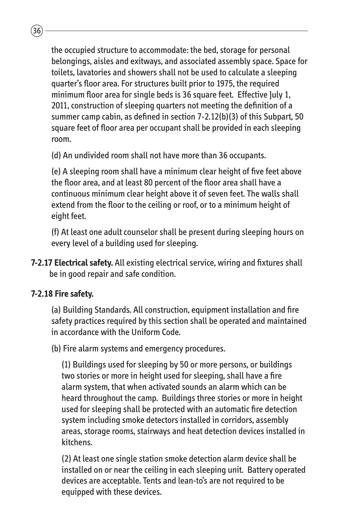the occupied structure to accommodate: the bed, storage for personal belongings, aisles and exitways, and associated assembly space. Space for toilets, lavatories and showers shall not be used to calculate a sleeping quarter's floor area. For structures built prior to 1975, the required minimum floor area for single beds is 36 square feet. Effective July 1, 2011, construction of sleeping quarters not meeting the definition of a summer camp cabin, as defined in section 7-2.12(b)(3) of this Subpart, 50 square feet of floor area per occupant shall be provided in each sleeping room.

(d) An undivided room shall not have more than 36 occupants.

(e) A sleeping room shall have a minimum clear height of five feet above the floor area, and at least 80 percent of the floor area shall have a continuous minimum clear height above it of seven feet. The walls shall extend from the floor to the ceiling or roof, or to a minimum height of eight feet.

(f) At least one adult counselor shall be present during sleeping hours on every level of a building used for sleeping.

**7-2.17 Electrical safety.** All existing electrical service, wiring and fixtures shall be in good repair and safe condition.

#### **7-2.18 Fire safety.**

 $\overline{36}$ 

(a) Building Standards. All construction, equipment installation and fire safety practices required by this section shall be operated and maintained in accordance with the Uniform Code.

(b) Fire alarm systems and emergency procedures.

(1) Buildings used for sleeping by 50 or more persons, or buildings two stories or more in height used for sleeping, shall have a fire alarm system, that when activated sounds an alarm which can be heard throughout the camp. Buildings three stories or more in height used for sleeping shall be protected with an automatic fire detection system including smoke detectors installed in corridors, assembly areas, storage rooms, stairways and heat detection devices installed in kitchens.

(2) At least one single station smoke detection alarm device shall be installed on or near the ceiling in each sleeping unit. Battery operated devices are acceptable. Tents and lean-to's are not required to be equipped with these devices.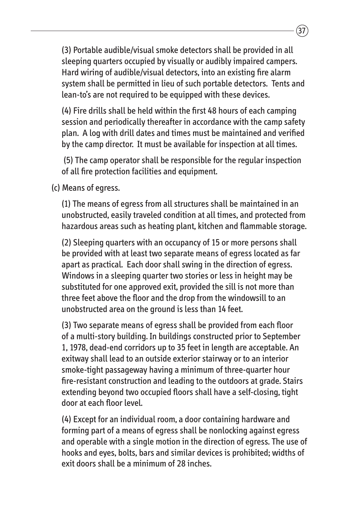(3) Portable audible/visual smoke detectors shall be provided in all sleeping quarters occupied by visually or audibly impaired campers. Hard wiring of audible/visual detectors, into an existing fire alarm system shall be permitted in lieu of such portable detectors. Tents and lean-to's are not required to be equipped with these devices.

(4) Fire drills shall be held within the first 48 hours of each camping session and periodically thereafter in accordance with the camp safety plan. A log with drill dates and times must be maintained and verified by the camp director. It must be available for inspection at all times.

(5) The camp operator shall be responsible for the regular inspection of all fire protection facilities and equipment.

(c) Means of egress.

(1) The means of egress from all structures shall be maintained in an unobstructed, easily traveled condition at all times, and protected from hazardous areas such as heating plant, kitchen and flammable storage.

(2) Sleeping quarters with an occupancy of 15 or more persons shall be provided with at least two separate means of egress located as far apart as practical. Each door shall swing in the direction of egress. Windows in a sleeping quarter two stories or less in height may be substituted for one approved exit, provided the sill is not more than three feet above the floor and the drop from the windowsill to an unobstructed area on the ground is less than 14 feet.

(3) Two separate means of egress shall be provided from each floor of a multi-story building. In buildings constructed prior to September 1, 1978, dead-end corridors up to 35 feet in length are acceptable. An exitway shall lead to an outside exterior stairway or to an interior smoke-tight passageway having a minimum of three-quarter hour fire-resistant construction and leading to the outdoors at grade. Stairs extending beyond two occupied floors shall have a self-closing, tight door at each floor level.

(4) Except for an individual room, a door containing hardware and forming part of a means of egress shall be nonlocking against egress and operable with a single motion in the direction of egress. The use of hooks and eyes, bolts, bars and similar devices is prohibited; widths of exit doors shall be a minimum of 28 inches.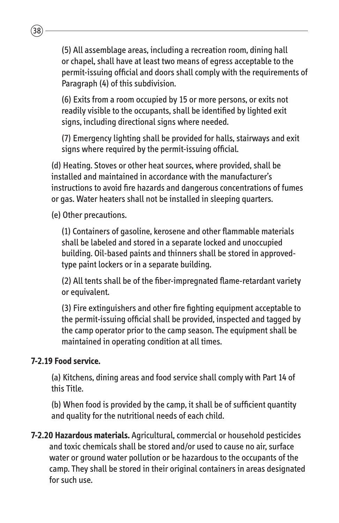(5) All assemblage areas, including a recreation room, dining hall or chapel, shall have at least two means of egress acceptable to the permit-issuing official and doors shall comply with the requirements of Paragraph (4) of this subdivision.

(6) Exits from a room occupied by 15 or more persons, or exits not readily visible to the occupants, shall be identified by lighted exit signs, including directional signs where needed.

(7) Emergency lighting shall be provided for halls, stairways and exit signs where required by the permit-issuing official.

(d) Heating. Stoves or other heat sources, where provided, shall be installed and maintained in accordance with the manufacturer's instructions to avoid fire hazards and dangerous concentrations of fumes or gas. Water heaters shall not be installed in sleeping quarters.

(e) Other precautions.

 $\overline{38}$ 

(1) Containers of gasoline, kerosene and other flammable materials shall be labeled and stored in a separate locked and unoccupied building. Oil-based paints and thinners shall be stored in approvedtype paint lockers or in a separate building.

(2) All tents shall be of the fiber-impregnated flame-retardant variety or equivalent.

(3) Fire extinguishers and other fire fighting equipment acceptable to the permit-issuing official shall be provided, inspected and tagged by the camp operator prior to the camp season. The equipment shall be maintained in operating condition at all times.

#### **7-2.19 Food service.**

(a) Kitchens, dining areas and food service shall comply with Part 14 of this Title.

(b) When food is provided by the camp, it shall be of sufficient quantity and quality for the nutritional needs of each child.

**7-2.20 Hazardous materials.** Agricultural, commercial or household pesticides and toxic chemicals shall be stored and/or used to cause no air, surface water or ground water pollution or be hazardous to the occupants of the camp. They shall be stored in their original containers in areas designated for such use.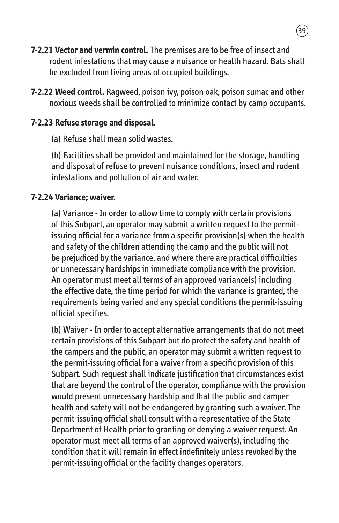- **7-2.21 Vector and vermin control.** The premises are to be free of insect and rodent infestations that may cause a nuisance or health hazard. Bats shall be excluded from living areas of occupied buildings.
- **7-2.22 Weed control.** Ragweed, poison ivy, poison oak, poison sumac and other noxious weeds shall be controlled to minimize contact by camp occupants.

#### **7-2.23 Refuse storage and disposal.**

(a) Refuse shall mean solid wastes.

(b) Facilities shall be provided and maintained for the storage, handling and disposal of refuse to prevent nuisance conditions, insect and rodent infestations and pollution of air and water.

#### **7-2.24 Variance; waiver.**

(a) Variance - In order to allow time to comply with certain provisions of this Subpart, an operator may submit a written request to the permitissuing official for a variance from a specific provision(s) when the health and safety of the children attending the camp and the public will not be prejudiced by the variance, and where there are practical difficulties or unnecessary hardships in immediate compliance with the provision. An operator must meet all terms of an approved variance(s) including the effective date, the time period for which the variance is granted, the requirements being varied and any special conditions the permit-issuing official specifies.

(b) Waiver - In order to accept alternative arrangements that do not meet certain provisions of this Subpart but do protect the safety and health of the campers and the public, an operator may submit a written request to the permit-issuing official for a waiver from a specific provision of this Subpart. Such request shall indicate justification that circumstances exist that are beyond the control of the operator, compliance with the provision would present unnecessary hardship and that the public and camper health and safety will not be endangered by granting such a waiver. The permit-issuing official shall consult with a representative of the State Department of Health prior to granting or denying a waiver request. An operator must meet all terms of an approved waiver(s), including the condition that it will remain in effect indefinitely unless revoked by the permit-issuing official or the facility changes operators.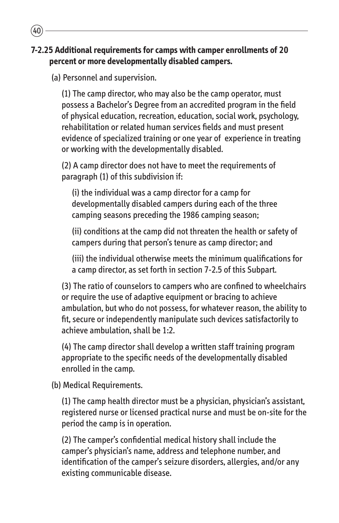#### **7-2.25 Additional requirements for camps with camper enrollments of 20 percent or more developmentally disabled campers.**

(a) Personnel and supervision.

40

(1) The camp director, who may also be the camp operator, must possess a Bachelor's Degree from an accredited program in the field of physical education, recreation, education, social work, psychology, rehabilitation or related human services fields and must present evidence of specialized training or one year of experience in treating or working with the developmentally disabled.

(2) A camp director does not have to meet the requirements of paragraph (1) of this subdivision if:

(i) the individual was a camp director for a camp for developmentally disabled campers during each of the three camping seasons preceding the 1986 camping season;

(ii) conditions at the camp did not threaten the health or safety of campers during that person's tenure as camp director; and

(iii) the individual otherwise meets the minimum qualifications for a camp director, as set forth in section 7-2.5 of this Subpart.

(3) The ratio of counselors to campers who are confined to wheelchairs or require the use of adaptive equipment or bracing to achieve ambulation, but who do not possess, for whatever reason, the ability to fit, secure or independently manipulate such devices satisfactorily to achieve ambulation, shall be 1:2.

(4) The camp director shall develop a written staff training program appropriate to the specific needs of the developmentally disabled enrolled in the camp.

(b) Medical Requirements.

(1) The camp health director must be a physician, physician's assistant, registered nurse or licensed practical nurse and must be on-site for the period the camp is in operation.

(2) The camper's confidential medical history shall include the camper's physician's name, address and telephone number, and identification of the camper's seizure disorders, allergies, and/or any existing communicable disease.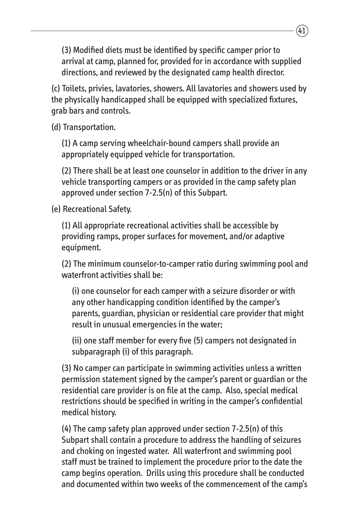(3) Modified diets must be identified by specific camper prior to arrival at camp, planned for, provided for in accordance with supplied directions, and reviewed by the designated camp health director.

(c) Toilets, privies, lavatories, showers. All lavatories and showers used by the physically handicapped shall be equipped with specialized fixtures, grab bars and controls.

(d) Transportation.

(1) A camp serving wheelchair-bound campers shall provide an appropriately equipped vehicle for transportation.

(2) There shall be at least one counselor in addition to the driver in any vehicle transporting campers or as provided in the camp safety plan approved under section 7-2.5(n) of this Subpart.

(e) Recreational Safety.

(1) All appropriate recreational activities shall be accessible by providing ramps, proper surfaces for movement, and/or adaptive equipment.

(2) The minimum counselor-to-camper ratio during swimming pool and waterfront activities shall be:

(i) one counselor for each camper with a seizure disorder or with any other handicapping condition identified by the camper's parents, guardian, physician or residential care provider that might result in unusual emergencies in the water;

(ii) one staff member for every five (5) campers not designated in subparagraph (i) of this paragraph.

(3) No camper can participate in swimming activities unless a written permission statement signed by the camper's parent or guardian or the residential care provider is on file at the camp. Also, special medical restrictions should be specified in writing in the camper's confidential medical history.

(4) The camp safety plan approved under section 7-2.5(n) of this Subpart shall contain a procedure to address the handling of seizures and choking on ingested water. All waterfront and swimming pool staff must be trained to implement the procedure prior to the date the camp begins operation. Drills using this procedure shall be conducted and documented within two weeks of the commencement of the camp's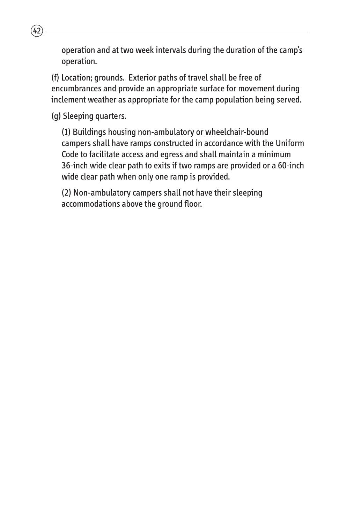operation and at two week intervals during the duration of the camp's operation.

(f) Location; grounds. Exterior paths of travel shall be free of encumbrances and provide an appropriate surface for movement during inclement weather as appropriate for the camp population being served.

(g) Sleeping quarters.

 $42$ 

(1) Buildings housing non-ambulatory or wheelchair-bound campers shall have ramps constructed in accordance with the Uniform Code to facilitate access and egress and shall maintain a minimum 36-inch wide clear path to exits if two ramps are provided or a 60-inch wide clear path when only one ramp is provided.

(2) Non-ambulatory campers shall not have their sleeping accommodations above the ground floor.